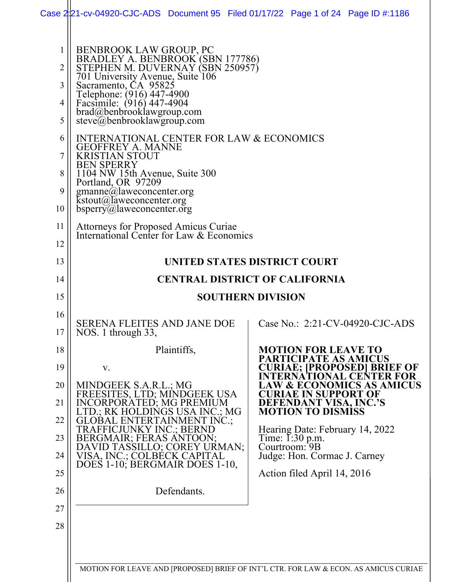|                                                                | Case 2:21-cv-04920-CJC-ADS Document 95 Filed 01/17/22 Page 1 of 24 Page ID #:1186                                                                                                                                                                                                                                                                    |  |                                                                                                                                                                                                                                                                                                     |                                                                                          |
|----------------------------------------------------------------|------------------------------------------------------------------------------------------------------------------------------------------------------------------------------------------------------------------------------------------------------------------------------------------------------------------------------------------------------|--|-----------------------------------------------------------------------------------------------------------------------------------------------------------------------------------------------------------------------------------------------------------------------------------------------------|------------------------------------------------------------------------------------------|
| 1<br>2<br>3<br>4<br>5<br>6                                     | BENBROOK LAW GROUP, PC<br>BRADLEY A. BENBROOK (SBN 177786)<br>STEPHEN M. DUVERNAY (SBN 250957)<br>701 University Avenue, Suite 106<br>Sacramento, CA 95825<br>Telephone: (916) 447-4900<br>Facsimile: (916) 447-4904<br>brad@benbrooklawgroup.com<br>steve@behbooklawgroup.com<br>INTERNATIONAL CENTER FOR LAW & ECONOMICS                           |  |                                                                                                                                                                                                                                                                                                     |                                                                                          |
| 7<br>8<br>9<br>10<br>11<br>12                                  | <b>GEOFFREY A. MANNE</b><br><b>KRISTIAN STOUT</b><br><b>BEN SPERRY</b><br>1104 NW 15th Avenue, Suite 300<br>Portland, OR 97209<br>gmanne@laweconcenter.org<br>$k$ stout@laweconcenter.org<br>bsperry@laweconcenter.org<br>Attorneys for Proposed Amicus Curiae<br>International Center for Law & Economics                                           |  |                                                                                                                                                                                                                                                                                                     |                                                                                          |
| 13                                                             | UNITED STATES DISTRICT COURT                                                                                                                                                                                                                                                                                                                         |  |                                                                                                                                                                                                                                                                                                     |                                                                                          |
| 14                                                             | <b>CENTRAL DISTRICT OF CALIFORNIA</b>                                                                                                                                                                                                                                                                                                                |  |                                                                                                                                                                                                                                                                                                     |                                                                                          |
| 15                                                             | <b>SOUTHERN DIVISION</b>                                                                                                                                                                                                                                                                                                                             |  |                                                                                                                                                                                                                                                                                                     |                                                                                          |
| 16<br>17                                                       | <b>SERENA FLEITES AND JANE DOE</b><br>NOS. 1 through $33$ ,                                                                                                                                                                                                                                                                                          |  |                                                                                                                                                                                                                                                                                                     | Case No.: 2:21-CV-04920-CJC-ADS                                                          |
| 18<br>19<br>20<br>21<br>22<br>23<br>24<br>25<br>26<br>27<br>28 | Plaintiffs,<br>V.<br>MINDGEEK S.A.R.L.; MG<br>FREESITES, LTD; MINDGEEK USA<br>INCORPORATED; MG PREMIUM<br>LTD.; RK HOLDINGS USA INC.; MG<br><b>GLOBAL ENTERTAINMENT INC.;</b><br>TRAFFICJUNKY INC.; BERND<br>BERGMAIR; FERAS ANTOON;<br>DAVID TASSILLO; COREY URMAN;<br>VISA, INC.; COLBECK CAPITAL<br>DOES 1-10; BERGMAIR DOES 1-10,<br>Defendants. |  | <b>MOTION FOR LEAVE TO</b><br>PARTICIPATE AS AMICUS<br>ERNATIONAL<br><b>CURIAE IN SUPPORT OF</b><br><b>DEFENDANT VISA, INC.'S</b><br><b>MOTION TO DISMISS</b><br>Hearing Date: February 14, 2022<br>Time: I:30 p.m.<br>Courtroom: 9B<br>Judge: Hon. Cormac J. Carney<br>Action filed April 14, 2016 | CURIAE; [PROPOSED] BRIEF OF<br><b>CENTER FOR</b><br><b>LAW &amp; ECONOMICS AS AMICUS</b> |
|                                                                | MOTION FOR LEAVE AND [PROPOSED] BRIEF OF INT'L CTR. FOR LAW & ECON. AS AMICUS CURIAE                                                                                                                                                                                                                                                                 |  |                                                                                                                                                                                                                                                                                                     |                                                                                          |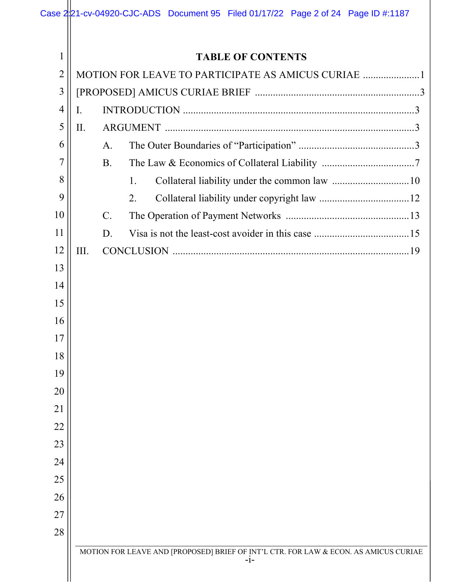|                |                          |                 |    |  |       | Case 2221-cv-04920-CJC-ADS Document 95 Filed 01/17/22 Page 2 of 24 Page ID #:1187    |  |
|----------------|--------------------------|-----------------|----|--|-------|--------------------------------------------------------------------------------------|--|
|                |                          |                 |    |  |       |                                                                                      |  |
| $\mathbf 1$    | <b>TABLE OF CONTENTS</b> |                 |    |  |       |                                                                                      |  |
| $\overline{2}$ |                          |                 |    |  |       | MOTION FOR LEAVE TO PARTICIPATE AS AMICUS CURIAE 1                                   |  |
| 3              |                          |                 |    |  |       |                                                                                      |  |
| 4              | I.                       |                 |    |  |       |                                                                                      |  |
| 5              | II.                      |                 |    |  |       |                                                                                      |  |
| 6              |                          | A.              |    |  |       |                                                                                      |  |
| 7              |                          | <b>B.</b>       |    |  |       |                                                                                      |  |
| 8              |                          |                 | 1. |  |       |                                                                                      |  |
| 9              |                          |                 | 2. |  |       |                                                                                      |  |
| 10             |                          | $\mathcal{C}$ . |    |  |       |                                                                                      |  |
| 11             |                          | D.              |    |  |       |                                                                                      |  |
| 12             | III.                     |                 |    |  |       |                                                                                      |  |
| 13             |                          |                 |    |  |       |                                                                                      |  |
| 14             |                          |                 |    |  |       |                                                                                      |  |
| 15             |                          |                 |    |  |       |                                                                                      |  |
| 16             |                          |                 |    |  |       |                                                                                      |  |
| 17             |                          |                 |    |  |       |                                                                                      |  |
| 18             |                          |                 |    |  |       |                                                                                      |  |
| 19             |                          |                 |    |  |       |                                                                                      |  |
| 20             |                          |                 |    |  |       |                                                                                      |  |
| 21             |                          |                 |    |  |       |                                                                                      |  |
| 22             |                          |                 |    |  |       |                                                                                      |  |
| 23             |                          |                 |    |  |       |                                                                                      |  |
| 24             |                          |                 |    |  |       |                                                                                      |  |
| 25             |                          |                 |    |  |       |                                                                                      |  |
| 26             |                          |                 |    |  |       |                                                                                      |  |
| 27             |                          |                 |    |  |       |                                                                                      |  |
| 28             |                          |                 |    |  |       |                                                                                      |  |
|                |                          |                 |    |  |       | MOTION FOR LEAVE AND [PROPOSED] BRIEF OF INT'L CTR. FOR LAW & ECON. AS AMICUS CURIAE |  |
|                |                          |                 |    |  | $-1-$ |                                                                                      |  |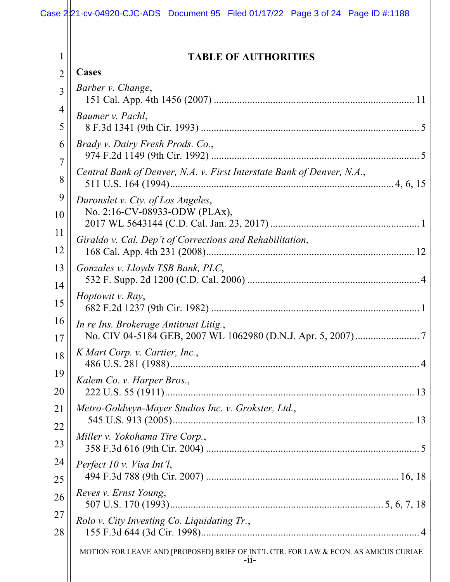| 1              | <b>TABLE OF AUTHORITIES</b>                                                                    |
|----------------|------------------------------------------------------------------------------------------------|
| $\overline{2}$ | <b>Cases</b>                                                                                   |
| $\overline{3}$ | Barber v. Change,                                                                              |
| 4<br>5         | Baumer v. Pachl,                                                                               |
| 6<br>7         | Brady v. Dairy Fresh Prods. Co.,                                                               |
| 8              | Central Bank of Denver, N.A. v. First Interstate Bank of Denver, N.A.,                         |
| 9<br>10        | Duronslet v. Cty. of Los Angeles,<br>No. 2:16-CV-08933-ODW (PLAx),                             |
| 11<br>12       | Giraldo v. Cal. Dep't of Corrections and Rehabilitation,                                       |
| 13<br>14       | Gonzales v. Lloyds TSB Bank, PLC,                                                              |
| 15             | Hoptowit v. Ray,                                                                               |
| 16<br>17       | In re Ins. Brokerage Antitrust Litig.,                                                         |
| 18             | K Mart Corp. v. Cartier, Inc.,                                                                 |
| 19<br>20       | Kalem Co. v. Harper Bros.,                                                                     |
| 21<br>22       | Metro-Goldwyn-Mayer Studios Inc. v. Grokster, Ltd.,                                            |
| 23             | Miller v. Yokohama Tire Corp.,                                                                 |
| 24<br>25       | Perfect 10 v. Visa Int'l,                                                                      |
| 26             | Reves v. Ernst Young,                                                                          |
| 27<br>28       | Rolo v. City Investing Co. Liquidating Tr.,                                                    |
|                | MOTION FOR LEAVE AND [PROPOSED] BRIEF OF INT'L CTR. FOR LAW & ECON. AS AMICUS CURIAE<br>$-11-$ |
|                |                                                                                                |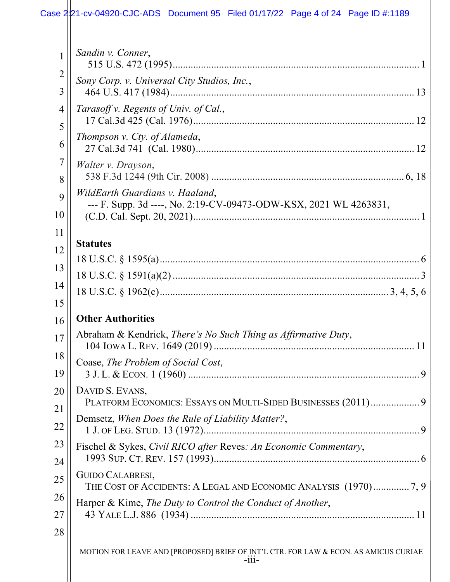# Case 2:21-cv-04920-CJC-ADS Document 95 Filed 01/17/22 Page 4 of 24 Page ID #:1189

| 1                   | Sandin v. Conner,                                                                                                             |
|---------------------|-------------------------------------------------------------------------------------------------------------------------------|
| $\overline{2}$<br>3 | Sony Corp. v. Universal City Studios, Inc.,                                                                                   |
| $\overline{4}$<br>5 | Tarasoff v. Regents of Univ. of Cal.,                                                                                         |
| 6                   | Thompson v. Cty. of Alameda,                                                                                                  |
| 7<br>8              | Walter v. Drayson,                                                                                                            |
| 9                   | WildEarth Guardians v. Haaland,                                                                                               |
| 10                  | --- F. Supp. 3d ----, No. 2:19-CV-09473-ODW-KSX, 2021 WL 4263831,                                                             |
| 11<br>12            | <b>Statutes</b>                                                                                                               |
| 13                  |                                                                                                                               |
| 14<br>15            |                                                                                                                               |
|                     |                                                                                                                               |
|                     |                                                                                                                               |
| 16<br>17            | <b>Other Authorities</b><br>Abraham & Kendrick, There's No Such Thing as Affirmative Duty,                                    |
| 18                  | Coase, The Problem of Social Cost,                                                                                            |
| 19<br>20            | DAVID S. EVANS,                                                                                                               |
| 21<br>22            | PLATFORM ECONOMICS: ESSAYS ON MULTI-SIDED BUSINESSES (2011) 9<br>Demsetz, When Does the Rule of Liability Matter?,            |
| 23                  | Fischel & Sykes, Civil RICO after Reves: An Economic Commentary,                                                              |
| 24<br>25            | <b>GUIDO CALABRESI,</b>                                                                                                       |
| 26                  | THE COST OF ACCIDENTS: A LEGAL AND ECONOMIC ANALYSIS (1970)7, 9<br>Harper & Kime, The Duty to Control the Conduct of Another, |
| 27                  |                                                                                                                               |
| 28                  | MOTION FOR LEAVE AND [PROPOSED] BRIEF OF INT'L CTR. FOR LAW & ECON. AS AMICUS CURIAE<br>$-111-$                               |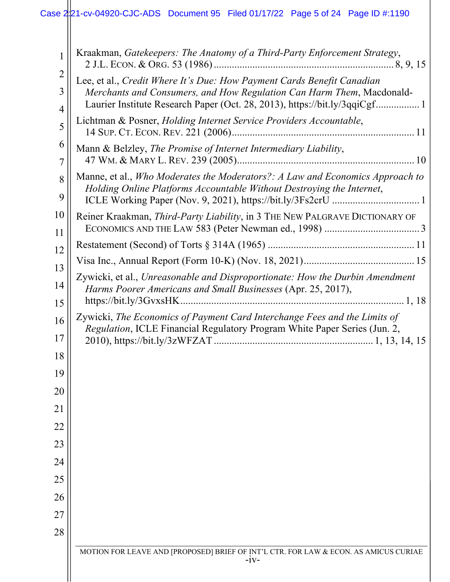# Case 2:21-cv-04920-CJC-ADS Document 95 Filed 01/17/22 Page 5 of 24 Page ID #:1190

| 1                   | Kraakman, Gatekeepers: The Anatomy of a Third-Party Enforcement Strategy,                                                                                                                                                     |
|---------------------|-------------------------------------------------------------------------------------------------------------------------------------------------------------------------------------------------------------------------------|
| $\overline{2}$<br>3 | Lee, et al., Credit Where It's Due: How Payment Cards Benefit Canadian<br>Merchants and Consumers, and How Regulation Can Harm Them, Macdonald-<br>Laurier Institute Research Paper (Oct. 28, 2013), https://bit.ly/3qqiCgf 1 |
| 4<br>5              | Lichtman & Posner, Holding Internet Service Providers Accountable,                                                                                                                                                            |
| 6<br>7              | Mann & Belzley, The Promise of Internet Intermediary Liability,                                                                                                                                                               |
| 8<br>9              | Manne, et al., Who Moderates the Moderators?: A Law and Economics Approach to<br>Holding Online Platforms Accountable Without Destroying the Internet,                                                                        |
| 10<br>11            | Reiner Kraakman, Third-Party Liability, in 3 THE NEW PALGRAVE DICTIONARY OF                                                                                                                                                   |
| 12                  |                                                                                                                                                                                                                               |
| 13                  |                                                                                                                                                                                                                               |
| 14                  | Zywicki, et al., Unreasonable and Disproportionate: How the Durbin Amendment<br>Harms Poorer Americans and Small Businesses (Apr. 25, 2017),                                                                                  |
| 15                  |                                                                                                                                                                                                                               |
| 16<br>17            | Zywicki, The Economics of Payment Card Interchange Fees and the Limits of<br>Regulation, ICLE Financial Regulatory Program White Paper Series (Jun. 2,                                                                        |
| 18                  |                                                                                                                                                                                                                               |
| 19                  |                                                                                                                                                                                                                               |
| 20                  |                                                                                                                                                                                                                               |
| 21                  |                                                                                                                                                                                                                               |
| 22                  |                                                                                                                                                                                                                               |
| 23                  |                                                                                                                                                                                                                               |
| 24                  |                                                                                                                                                                                                                               |
| 25                  |                                                                                                                                                                                                                               |
| 26                  |                                                                                                                                                                                                                               |
| 27                  |                                                                                                                                                                                                                               |
| 28                  |                                                                                                                                                                                                                               |
|                     | MOTION FOR LEAVE AND [PROPOSED] BRIEF OF INT'L CTR. FOR LAW & ECON. AS AMICUS CURIAE<br>$-1V-$                                                                                                                                |
|                     |                                                                                                                                                                                                                               |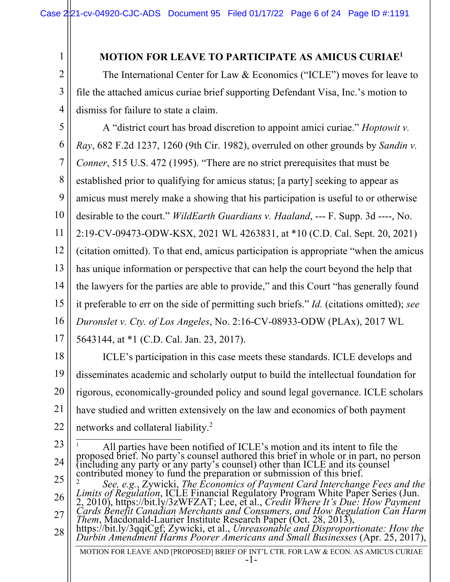1

2

3

4

### **MOTION FOR LEAVE TO PARTICIPATE AS AMICUS CURIAE1**

The International Center for Law & Economics ("ICLE") moves for leave to file the attached amicus curiae brief supporting Defendant Visa, Inc.'s motion to dismiss for failure to state a claim.

5 6 7 8 9 10 11 12 13 14 15 16 17 A "district court has broad discretion to appoint amici curiae." *Hoptowit v. Ray*, 682 F.2d 1237, 1260 (9th Cir. 1982), overruled on other grounds by *Sandin v. Conner*, 515 U.S. 472 (1995). "There are no strict prerequisites that must be established prior to qualifying for amicus status; [a party] seeking to appear as amicus must merely make a showing that his participation is useful to or otherwise desirable to the court." *WildEarth Guardians v. Haaland*, --- F. Supp. 3d ----, No. 2:19-CV-09473-ODW-KSX, 2021 WL 4263831, at \*10 (C.D. Cal. Sept. 20, 2021) (citation omitted). To that end, amicus participation is appropriate "when the amicus has unique information or perspective that can help the court beyond the help that the lawyers for the parties are able to provide," and this Court "has generally found it preferable to err on the side of permitting such briefs." *Id.* (citations omitted); *see Duronslet v. Cty. of Los Angeles*, No. 2:16-CV-08933-ODW (PLAx), 2017 WL 5643144, at \*1 (C.D. Cal. Jan. 23, 2017).

18 19 20 21 22 ICLE's participation in this case meets these standards. ICLE develops and disseminates academic and scholarly output to build the intellectual foundation for rigorous, economically-grounded policy and sound legal governance. ICLE scholars have studied and written extensively on the law and economics of both payment networks and collateral liability.2

MOTION FOR LEAVE AND [PROPOSED] BRIEF OF INT'L CTR. FOR LAW & ECON. AS AMICUS CURIAE -1- 23 24 25 26 27 28 <sup>1</sup> All parties have been notified of ICLE's motion and its intent to file the proposed brief. No party's counsel authored this brief in whole or in part, no person (including any party or any party's counsel) other than ICLE and its counsel contributed money to fund the preparation or submission of this brief. <sup>2</sup> See, e.g., Zywicki, The Economics of Payment Card Interchange Fees and the Limits of Regulation, ICLE Financial Regulatory Program White Paper Series (Jun.<br>2, 2010), https://bit.ly/3zWFZAT; Lee, et al., Credit Where It 2, 2010), https://bit.fy/52WFZA1, Ecc, et al., Creati Where It's Due. How Fayment<br>Cards Benefit Canadian Merchants and Consumers, and How Regulation Can Harm<br>Them, Macdonald-Laurier Institute Research Paper (Oct. 28, 2013)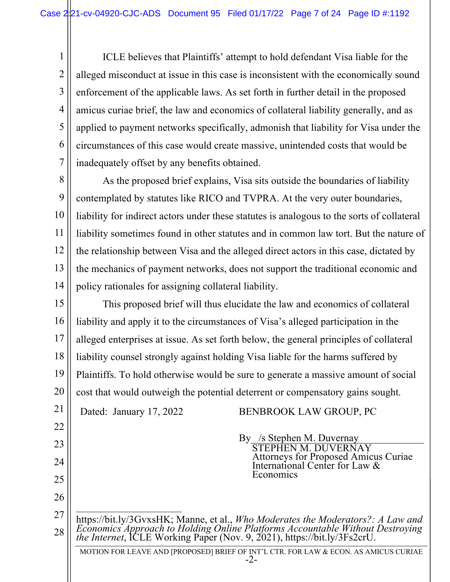1 2 3 4 5 6 7 ICLE believes that Plaintiffs' attempt to hold defendant Visa liable for the alleged misconduct at issue in this case is inconsistent with the economically sound enforcement of the applicable laws. As set forth in further detail in the proposed amicus curiae brief, the law and economics of collateral liability generally, and as applied to payment networks specifically, admonish that liability for Visa under the circumstances of this case would create massive, unintended costs that would be inadequately offset by any benefits obtained.

8 9 10 11 12 13 14 As the proposed brief explains, Visa sits outside the boundaries of liability contemplated by statutes like RICO and TVPRA. At the very outer boundaries, liability for indirect actors under these statutes is analogous to the sorts of collateral liability sometimes found in other statutes and in common law tort. But the nature of the relationship between Visa and the alleged direct actors in this case, dictated by the mechanics of payment networks, does not support the traditional economic and policy rationales for assigning collateral liability.

15 16 17 18 19 20 This proposed brief will thus elucidate the law and economics of collateral liability and apply it to the circumstances of Visa's alleged participation in the alleged enterprises at issue. As set forth below, the general principles of collateral liability counsel strongly against holding Visa liable for the harms suffered by Plaintiffs. To hold otherwise would be sure to generate a massive amount of social cost that would outweigh the potential deterrent or compensatory gains sought.

21 Dated: January 17, 2022 BENBROOK LAW GROUP, PC

22

23

24

25

26

By /s Stephen M. Duvernay STEPHEN M. DUVERNAY Attorneys for Proposed Amicus Curiae International Center for Law & Economics

27 28 https://bit.ly/3GvxsHK; Manne, et al., *Who Moderates the Moderators?: A Law and Economics Approach to Holding Online Platforms Accountable Without Destroying the Internet*, ICLE Working Paper (Nov. 9, 2021), https://bit.ly/3Fs2crU.

MOTION FOR LEAVE AND [PROPOSED] BRIEF OF INT'L CTR. FOR LAW & ECON. AS AMICUS CURIAE -2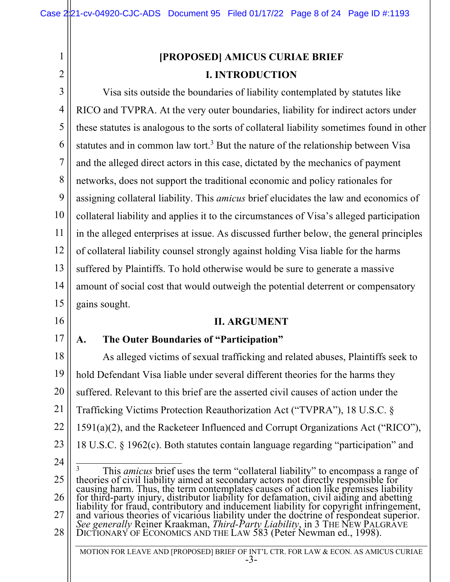11

12

13

14

15

16

17

# **[PROPOSED] AMICUS CURIAE BRIEF I. INTRODUCTION** Visa sits outside the boundaries of liability contemplated by statutes like RICO and TVPRA. At the very outer boundaries, liability for indirect actors under these statutes is analogous to the sorts of collateral liability sometimes found in other statutes and in common law tort.<sup>3</sup> But the nature of the relationship between Visa and the alleged direct actors in this case, dictated by the mechanics of payment networks, does not support the traditional economic and policy rationales for assigning collateral liability. This *amicus* brief elucidates the law and economics of collateral liability and applies it to the circumstances of Visa's alleged participation in the alleged enterprises at issue. As discussed further below, the general principles of collateral liability counsel strongly against holding Visa liable for the harms suffered by Plaintiffs. To hold otherwise would be sure to generate a massive amount of social cost that would outweigh the potential deterrent or compensatory gains sought. **II. ARGUMENT A. The Outer Boundaries of "Participation"**

- 18 19 20 21 22 23 As alleged victims of sexual trafficking and related abuses, Plaintiffs seek to hold Defendant Visa liable under several different theories for the harms they suffered. Relevant to this brief are the asserted civil causes of action under the Trafficking Victims Protection Reauthorization Act ("TVPRA"), 18 U.S.C. § 1591(a)(2), and the Racketeer Influenced and Corrupt Organizations Act ("RICO"), 18 U.S.C. § 1962(c). Both statutes contain language regarding "participation" and
- 24 25 26 27 28 <sup>3</sup> This *amicus* brief uses the term "collateral liability" to encompass a range of theories of civil liability aimed at secondary actors not directly responsible for causing harm. Thus, the term contemplates causes of action like premises liability for third-party injury, distributor liability for defamation, civil aiding and abetting<br>liability for fraud, contributory and inducement liability for copyright infringement, and various theories of vicarious liability under the doctrine of respondeat superior. *See generally* Reiner Kraakman, *Third-Party Liability*, in 3 THE NEW PALGRAVE DICTIONARY OF ECONOMICS AND THE LAW 583 (Peter Newman ed., 1998).

MOTION FOR LEAVE AND [PROPOSED] BRIEF OF INT'L CTR. FOR LAW & ECON. AS AMICUS CURIAE -3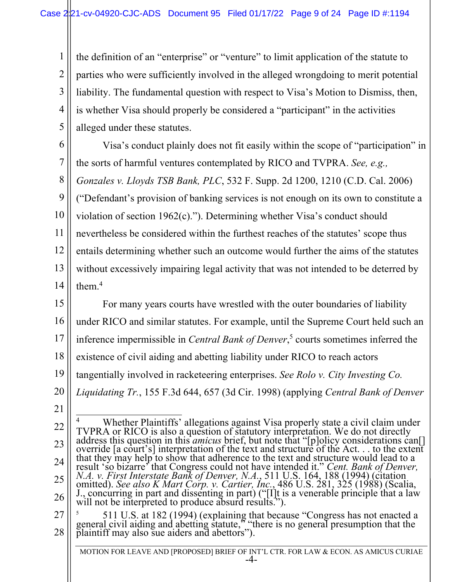4 the definition of an "enterprise" or "venture" to limit application of the statute to parties who were sufficiently involved in the alleged wrongdoing to merit potential liability. The fundamental question with respect to Visa's Motion to Dismiss, then, is whether Visa should properly be considered a "participant" in the activities alleged under these statutes.

6 7 8 9 10 11 12 13 14 Visa's conduct plainly does not fit easily within the scope of "participation" in the sorts of harmful ventures contemplated by RICO and TVPRA. *See, e.g., Gonzales v. Lloyds TSB Bank, PLC*, 532 F. Supp. 2d 1200, 1210 (C.D. Cal. 2006) ("Defendant's provision of banking services is not enough on its own to constitute a violation of section 1962(c)."). Determining whether Visa's conduct should nevertheless be considered within the furthest reaches of the statutes' scope thus entails determining whether such an outcome would further the aims of the statutes without excessively impairing legal activity that was not intended to be deterred by them.4

15 16 17 18 19 20 For many years courts have wrestled with the outer boundaries of liability under RICO and similar statutes. For example, until the Supreme Court held such an inference impermissible in *Central Bank of Denver*, <sup>5</sup> courts sometimes inferred the existence of civil aiding and abetting liability under RICO to reach actors tangentially involved in racketeering enterprises. *See Rolo v. City Investing Co. Liquidating Tr.*, 155 F.3d 644, 657 (3d Cir. 1998) (applying *Central Bank of Denver*

21

1

2

3

5

22 23 24 25 26 <sup>4</sup> Whether Plaintiffs' allegations against Visa properly state a civil claim under TVPRA or RICO is also a question of statutory interpretation. We do not directly address this question in this *amicus* brief, but note that "[p]olicy considerations can[] override [a court's] interpretation of the text and structure of the Act. . . to the extent that they may help to show that adherence to the text and structure would lead to a result 'so bizarre' that Congress could not have intended it." Cent. Bank of Denver, N.A. v. First Interstate Bank of Denver, N.A., 511 U.S. 164, 188 (1994) (citation omitted). See also K Mart Corp. v. Cartier, Inc., 486 U will not be interpreted to produce absurd results.").

27 28 <sup>5</sup> 511 U.S. at 182 (1994) (explaining that because "Congress has not enacted a general civil aiding and abetting statute," "there is no general presumption that the plaintiff may also sue aiders and abettors").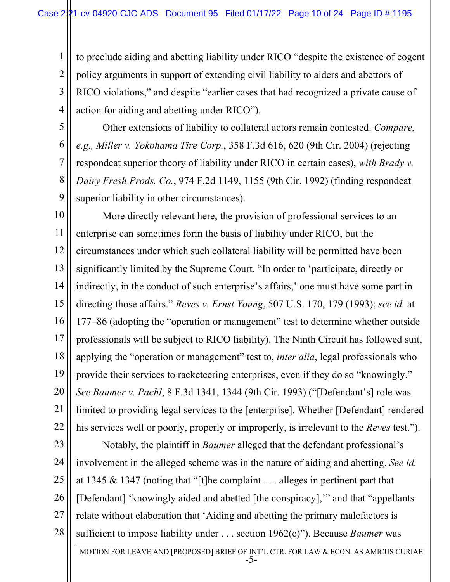to preclude aiding and abetting liability under RICO "despite the existence of cogent policy arguments in support of extending civil liability to aiders and abettors of RICO violations," and despite "earlier cases that had recognized a private cause of action for aiding and abetting under RICO").

5 6

1

2

3

4

7 8 9 Other extensions of liability to collateral actors remain contested. *Compare, e.g., Miller v. Yokohama Tire Corp.*, 358 F.3d 616, 620 (9th Cir. 2004) (rejecting respondeat superior theory of liability under RICO in certain cases), *with Brady v. Dairy Fresh Prods. Co.*, 974 F.2d 1149, 1155 (9th Cir. 1992) (finding respondeat superior liability in other circumstances).

10 11 12 13 14 15 16 17 18 19 20 21 22 More directly relevant here, the provision of professional services to an enterprise can sometimes form the basis of liability under RICO, but the circumstances under which such collateral liability will be permitted have been significantly limited by the Supreme Court. "In order to 'participate, directly or indirectly, in the conduct of such enterprise's affairs,' one must have some part in directing those affairs." *Reves v. Ernst Young*, 507 U.S. 170, 179 (1993); *see id.* at 177–86 (adopting the "operation or management" test to determine whether outside professionals will be subject to RICO liability). The Ninth Circuit has followed suit, applying the "operation or management" test to, *inter alia*, legal professionals who provide their services to racketeering enterprises, even if they do so "knowingly." *See Baumer v. Pachl*, 8 F.3d 1341, 1344 (9th Cir. 1993) ("[Defendant's] role was limited to providing legal services to the [enterprise]. Whether [Defendant] rendered his services well or poorly, properly or improperly, is irrelevant to the *Reves* test.").

23 24 25 26 27 28 Notably, the plaintiff in *Baumer* alleged that the defendant professional's involvement in the alleged scheme was in the nature of aiding and abetting. *See id.* at 1345 & 1347 (noting that "[t]he complaint . . . alleges in pertinent part that [Defendant] 'knowingly aided and abetted [the conspiracy],'" and that "appellants relate without elaboration that 'Aiding and abetting the primary malefactors is sufficient to impose liability under . . . section 1962(c)"). Because *Baumer* was

MOTION FOR LEAVE AND [PROPOSED] BRIEF OF INT'L CTR. FOR LAW & ECON. AS AMICUS CURIAE -5-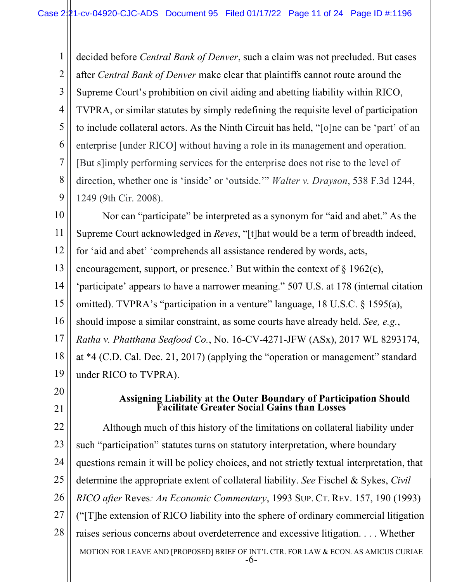1 2 3 4 5 6 7 8 9 decided before *Central Bank of Denver*, such a claim was not precluded. But cases after *Central Bank of Denver* make clear that plaintiffs cannot route around the Supreme Court's prohibition on civil aiding and abetting liability within RICO, TVPRA, or similar statutes by simply redefining the requisite level of participation to include collateral actors. As the Ninth Circuit has held, "[o]ne can be 'part' of an enterprise [under RICO] without having a role in its management and operation. [But s]imply performing services for the enterprise does not rise to the level of direction, whether one is 'inside' or 'outside.'" *Walter v. Drayson*, 538 F.3d 1244, 1249 (9th Cir. 2008).

10 11 12 13 14 15 16 17 18 19 Nor can "participate" be interpreted as a synonym for "aid and abet." As the Supreme Court acknowledged in *Reves*, "[t]hat would be a term of breadth indeed, for 'aid and abet' 'comprehends all assistance rendered by words, acts, encouragement, support, or presence.' But within the context of  $\S 1962(c)$ , 'participate' appears to have a narrower meaning." 507 U.S. at 178 (internal citation omitted). TVPRA's "participation in a venture" language, 18 U.S.C. § 1595(a), should impose a similar constraint, as some courts have already held. *See, e.g.*, *Ratha v. Phatthana Seafood Co.*, No. 16-CV-4271-JFW (ASx), 2017 WL 8293174, at \*4 (C.D. Cal. Dec. 21, 2017) (applying the "operation or management" standard under RICO to TVPRA).

20 21

# **Assigning Liability at the Outer Boundary of Participation Should Facilitate Greater Social Gains than Losses**

22 23 24 25 26 27 28 Although much of this history of the limitations on collateral liability under such "participation" statutes turns on statutory interpretation, where boundary questions remain it will be policy choices, and not strictly textual interpretation, that determine the appropriate extent of collateral liability. *See* Fischel & Sykes, *Civil RICO after* Reves*: An Economic Commentary*, 1993 SUP. CT. REV. 157, 190 (1993) ("[T]he extension of RICO liability into the sphere of ordinary commercial litigation raises serious concerns about overdeterrence and excessive litigation. . . . Whether

MOTION FOR LEAVE AND [PROPOSED] BRIEF OF INT'L CTR. FOR LAW & ECON. AS AMICUS CURIAE -6-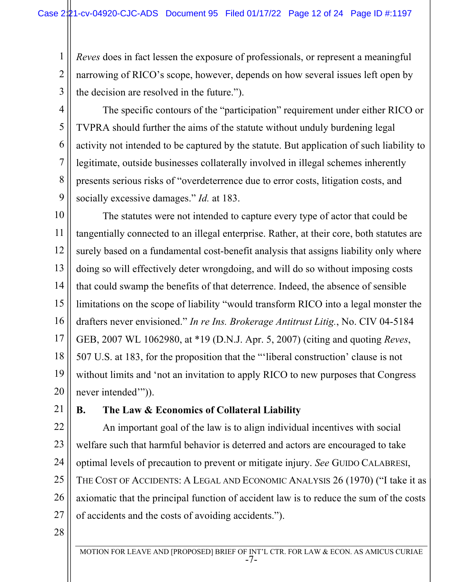1 2 *Reves* does in fact lessen the exposure of professionals, or represent a meaningful narrowing of RICO's scope, however, depends on how several issues left open by the decision are resolved in the future.").

3 4

5

6

7

8

9

The specific contours of the "participation" requirement under either RICO or TVPRA should further the aims of the statute without unduly burdening legal activity not intended to be captured by the statute. But application of such liability to legitimate, outside businesses collaterally involved in illegal schemes inherently presents serious risks of "overdeterrence due to error costs, litigation costs, and socially excessive damages." *Id.* at 183.

10 11 12 13 14 15 16 17 18 19 20 The statutes were not intended to capture every type of actor that could be tangentially connected to an illegal enterprise. Rather, at their core, both statutes are surely based on a fundamental cost-benefit analysis that assigns liability only where doing so will effectively deter wrongdoing, and will do so without imposing costs that could swamp the benefits of that deterrence. Indeed, the absence of sensible limitations on the scope of liability "would transform RICO into a legal monster the drafters never envisioned." *In re Ins. Brokerage Antitrust Litig.*, No. CIV 04-5184 GEB, 2007 WL 1062980, at \*19 (D.N.J. Apr. 5, 2007) (citing and quoting *Reves*, 507 U.S. at 183, for the proposition that the "'liberal construction' clause is not without limits and 'not an invitation to apply RICO to new purposes that Congress never intended'")).

21

### **B. The Law & Economics of Collateral Liability**

22 23 24 25 26 27 An important goal of the law is to align individual incentives with social welfare such that harmful behavior is deterred and actors are encouraged to take optimal levels of precaution to prevent or mitigate injury. *See* GUIDO CALABRESI, THE COST OF ACCIDENTS: A LEGAL AND ECONOMIC ANALYSIS 26 (1970) ("I take it as axiomatic that the principal function of accident law is to reduce the sum of the costs of accidents and the costs of avoiding accidents.").

28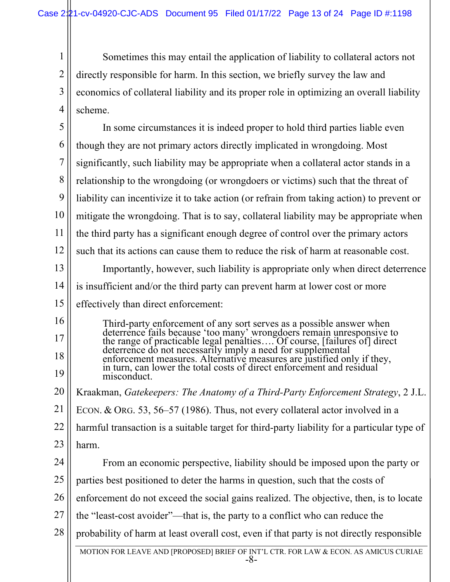1 2 3 4 Sometimes this may entail the application of liability to collateral actors not directly responsible for harm. In this section, we briefly survey the law and economics of collateral liability and its proper role in optimizing an overall liability scheme.

MOTION FOR LEAVE AND [PROPOSED] BRIEF OF INT'L CTR. FOR LAW & ECON. AS AMICUS CURIAE -8- 5 6 7 8 9 10 11 12 13 14 15 16 17 18 19 20 21 22 23 24 25 26 27 28 In some circumstances it is indeed proper to hold third parties liable even though they are not primary actors directly implicated in wrongdoing. Most significantly, such liability may be appropriate when a collateral actor stands in a relationship to the wrongdoing (or wrongdoers or victims) such that the threat of liability can incentivize it to take action (or refrain from taking action) to prevent or mitigate the wrongdoing. That is to say, collateral liability may be appropriate when the third party has a significant enough degree of control over the primary actors such that its actions can cause them to reduce the risk of harm at reasonable cost. Importantly, however, such liability is appropriate only when direct deterrence is insufficient and/or the third party can prevent harm at lower cost or more effectively than direct enforcement: Third-party enforcement of any sort serves as a possible answer when deterrence fails because 'too many' wrongdoers remain unresponsive to the range of practicable legal penalties…. Of course, [failures of] direct deterrence do not necessarily imply a need for supplemental enforcement measures. Alternative measures are justified only if they, in turn, can lower the total costs of direct enforcement and residual misconduct. Kraakman, *Gatekeepers: The Anatomy of a Third-Party Enforcement Strategy*, 2 J.L. ECON. & ORG. 53, 56–57 (1986). Thus, not every collateral actor involved in a harmful transaction is a suitable target for third-party liability for a particular type of harm. From an economic perspective, liability should be imposed upon the party or parties best positioned to deter the harms in question, such that the costs of enforcement do not exceed the social gains realized. The objective, then, is to locate the "least-cost avoider"—that is, the party to a conflict who can reduce the probability of harm at least overall cost, even if that party is not directly responsible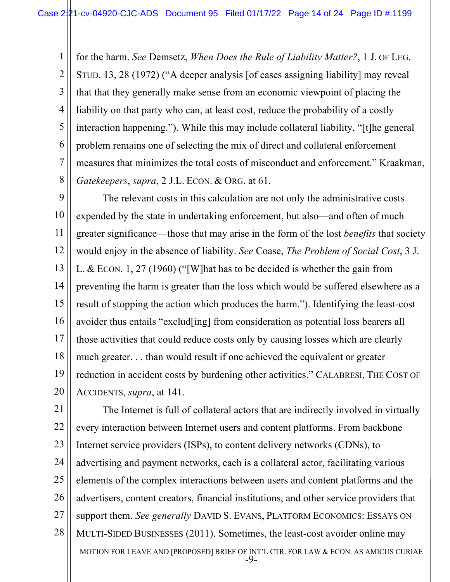1 2 3 4 5 6 7 8 for the harm. *See* Demsetz, *When Does the Rule of Liability Matter?*, 1 J. OF LEG. STUD. 13, 28 (1972) ("A deeper analysis [of cases assigning liability] may reveal that that they generally make sense from an economic viewpoint of placing the liability on that party who can, at least cost, reduce the probability of a costly interaction happening."). While this may include collateral liability, "[t]he general problem remains one of selecting the mix of direct and collateral enforcement measures that minimizes the total costs of misconduct and enforcement." Kraakman, *Gatekeepers*, *supra*, 2 J.L. ECON. & ORG. at 61.

9 10 11 12 13 14 15 16 17 18 19 20 The relevant costs in this calculation are not only the administrative costs expended by the state in undertaking enforcement, but also—and often of much greater significance—those that may arise in the form of the lost *benefits* that society would enjoy in the absence of liability. *See* Coase, *The Problem of Social Cost*, 3 J. L. & ECON. 1, 27 (1960) ("[W]hat has to be decided is whether the gain from preventing the harm is greater than the loss which would be suffered elsewhere as a result of stopping the action which produces the harm."). Identifying the least-cost avoider thus entails "exclud[ing] from consideration as potential loss bearers all those activities that could reduce costs only by causing losses which are clearly much greater. . . than would result if one achieved the equivalent or greater reduction in accident costs by burdening other activities." CALABRESI, THE COST OF ACCIDENTS, *supra*, at 141.

MOTION FOR LEAVE AND [PROPOSED] BRIEF OF INT'L CTR. FOR LAW & ECON. AS AMICUS CURIAE 21 22 23 24 25 26 27 28 The Internet is full of collateral actors that are indirectly involved in virtually every interaction between Internet users and content platforms. From backbone Internet service providers (ISPs), to content delivery networks (CDNs), to advertising and payment networks, each is a collateral actor, facilitating various elements of the complex interactions between users and content platforms and the advertisers, content creators, financial institutions, and other service providers that support them. *See generally* DAVID S. EVANS, PLATFORM ECONOMICS: ESSAYS ON MULTI-SIDED BUSINESSES (2011). Sometimes, the least-cost avoider online may

-9-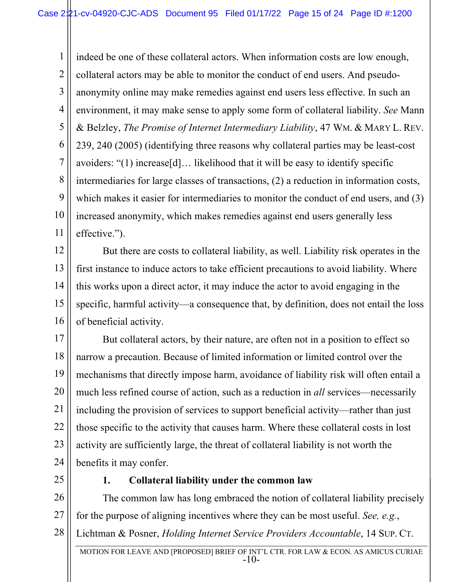1 2 3 4 5 6 7 8 9 10 11 indeed be one of these collateral actors. When information costs are low enough, collateral actors may be able to monitor the conduct of end users. And pseudoanonymity online may make remedies against end users less effective. In such an environment, it may make sense to apply some form of collateral liability. *See* Mann & Belzley, *The Promise of Internet Intermediary Liability*, 47 WM. & MARY L. REV. 239, 240 (2005) (identifying three reasons why collateral parties may be least-cost avoiders: "(1) increase[d]… likelihood that it will be easy to identify specific intermediaries for large classes of transactions, (2) a reduction in information costs, which makes it easier for intermediaries to monitor the conduct of end users, and (3) increased anonymity, which makes remedies against end users generally less effective.").

12 13 14 15 16 But there are costs to collateral liability, as well. Liability risk operates in the first instance to induce actors to take efficient precautions to avoid liability. Where this works upon a direct actor, it may induce the actor to avoid engaging in the specific, harmful activity—a consequence that, by definition, does not entail the loss of beneficial activity.

17 18 19 20 21 22 23 24 But collateral actors, by their nature, are often not in a position to effect so narrow a precaution. Because of limited information or limited control over the mechanisms that directly impose harm, avoidance of liability risk will often entail a much less refined course of action, such as a reduction in *all* services—necessarily including the provision of services to support beneficial activity—rather than just those specific to the activity that causes harm. Where these collateral costs in lost activity are sufficiently large, the threat of collateral liability is not worth the benefits it may confer.

25

#### **1. Collateral liability under the common law**

26 27 28 The common law has long embraced the notion of collateral liability precisely for the purpose of aligning incentives where they can be most useful. *See, e.g.*, Lichtman & Posner, *Holding Internet Service Providers Accountable*, 14 SUP. CT.

MOTION FOR LEAVE AND [PROPOSED] BRIEF OF INT'L CTR. FOR LAW & ECON. AS AMICUS CURIAE -10-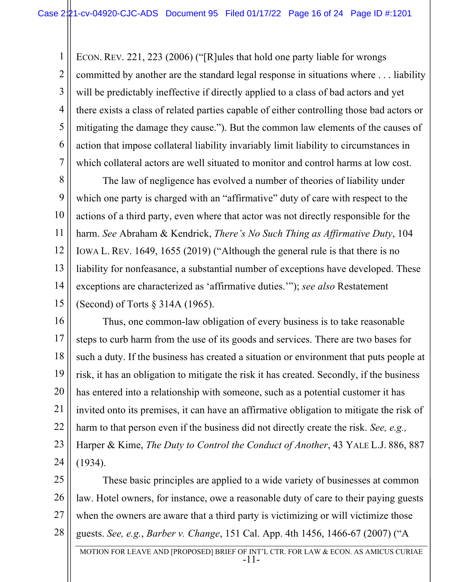1 2 3 4 5 6 7 ECON. REV. 221, 223 (2006) ("[R]ules that hold one party liable for wrongs committed by another are the standard legal response in situations where . . . liability will be predictably ineffective if directly applied to a class of bad actors and yet there exists a class of related parties capable of either controlling those bad actors or mitigating the damage they cause."). But the common law elements of the causes of action that impose collateral liability invariably limit liability to circumstances in which collateral actors are well situated to monitor and control harms at low cost.

8 9 10 11 12 13 14 15 The law of negligence has evolved a number of theories of liability under which one party is charged with an "affirmative" duty of care with respect to the actions of a third party, even where that actor was not directly responsible for the harm. *See* Abraham & Kendrick, *There's No Such Thing as Affirmative Duty*, 104 IOWA L. REV. 1649, 1655 (2019) ("Although the general rule is that there is no liability for nonfeasance, a substantial number of exceptions have developed. These exceptions are characterized as 'affirmative duties.'"); *see also* Restatement (Second) of Torts § 314A (1965).

16 17 18 19 20 21 22 23 24 Thus, one common-law obligation of every business is to take reasonable steps to curb harm from the use of its goods and services. There are two bases for such a duty. If the business has created a situation or environment that puts people at risk, it has an obligation to mitigate the risk it has created. Secondly, if the business has entered into a relationship with someone, such as a potential customer it has invited onto its premises, it can have an affirmative obligation to mitigate the risk of harm to that person even if the business did not directly create the risk. *See, e.g.,*  Harper & Kime, *The Duty to Control the Conduct of Another*, 43 YALE L.J. 886, 887 (1934).

25 26 27 28 These basic principles are applied to a wide variety of businesses at common law. Hotel owners, for instance, owe a reasonable duty of care to their paying guests when the owners are aware that a third party is victimizing or will victimize those guests. *See, e.g.*, *Barber v. Change*, 151 Cal. App. 4th 1456, 1466-67 (2007) ("A

MOTION FOR LEAVE AND [PROPOSED] BRIEF OF INT'L CTR. FOR LAW & ECON. AS AMICUS CURIAE -11-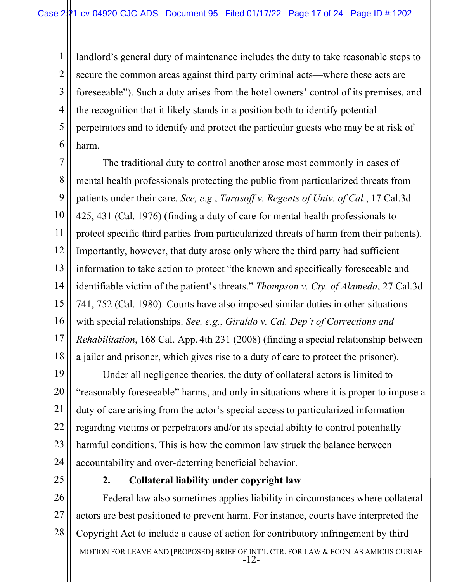1 2 3 4 5 6 landlord's general duty of maintenance includes the duty to take reasonable steps to secure the common areas against third party criminal acts—where these acts are foreseeable"). Such a duty arises from the hotel owners' control of its premises, and the recognition that it likely stands in a position both to identify potential perpetrators and to identify and protect the particular guests who may be at risk of harm.

7 8 9 10 11 12 13 14 15 16 17 18 The traditional duty to control another arose most commonly in cases of mental health professionals protecting the public from particularized threats from patients under their care. *See, e.g.*, *Tarasoff v. Regents of Univ. of Cal.*, 17 Cal.3d 425, 431 (Cal. 1976) (finding a duty of care for mental health professionals to protect specific third parties from particularized threats of harm from their patients). Importantly, however, that duty arose only where the third party had sufficient information to take action to protect "the known and specifically foreseeable and identifiable victim of the patient's threats." *Thompson v. Cty. of Alameda*, 27 Cal.3d 741, 752 (Cal. 1980). Courts have also imposed similar duties in other situations with special relationships. *See, e.g.*, *Giraldo v. Cal. Dep't of Corrections and Rehabilitation*, 168 Cal. App. 4th 231 (2008) (finding a special relationship between a jailer and prisoner, which gives rise to a duty of care to protect the prisoner).

19 20 21 22 23 24 Under all negligence theories, the duty of collateral actors is limited to "reasonably foreseeable" harms, and only in situations where it is proper to impose a duty of care arising from the actor's special access to particularized information regarding victims or perpetrators and/or its special ability to control potentially harmful conditions. This is how the common law struck the balance between accountability and over-deterring beneficial behavior.

25

#### **2. Collateral liability under copyright law**

26 27 28 Federal law also sometimes applies liability in circumstances where collateral actors are best positioned to prevent harm. For instance, courts have interpreted the Copyright Act to include a cause of action for contributory infringement by third

MOTION FOR LEAVE AND [PROPOSED] BRIEF OF INT'L CTR. FOR LAW & ECON. AS AMICUS CURIAE -12-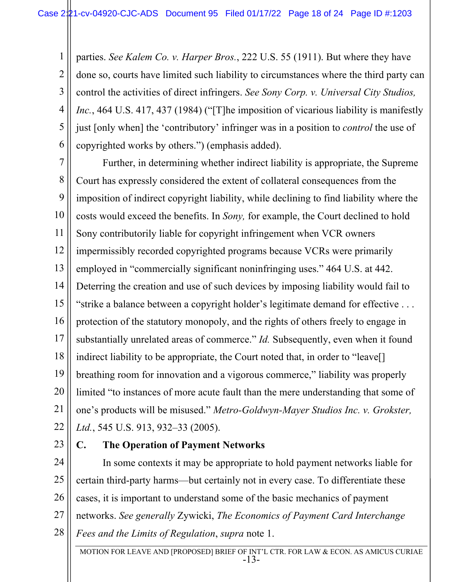1 2 3 4 5 6 parties. *See Kalem Co. v. Harper Bros.*, 222 U.S. 55 (1911). But where they have done so, courts have limited such liability to circumstances where the third party can control the activities of direct infringers. *See Sony Corp. v. Universal City Studios, Inc.*, 464 U.S. 417, 437 (1984) ("[T]he imposition of vicarious liability is manifestly just [only when] the 'contributory' infringer was in a position to *control* the use of copyrighted works by others.") (emphasis added).

7 8 9 10 11 12 13 14 15 16 17 18 19 20 21 22 Further, in determining whether indirect liability is appropriate, the Supreme Court has expressly considered the extent of collateral consequences from the imposition of indirect copyright liability, while declining to find liability where the costs would exceed the benefits. In *Sony,* for example, the Court declined to hold Sony contributorily liable for copyright infringement when VCR owners impermissibly recorded copyrighted programs because VCRs were primarily employed in "commercially significant noninfringing uses." 464 U.S. at 442. Deterring the creation and use of such devices by imposing liability would fail to "strike a balance between a copyright holder's legitimate demand for effective . . . protection of the statutory monopoly, and the rights of others freely to engage in substantially unrelated areas of commerce." *Id.* Subsequently, even when it found indirect liability to be appropriate, the Court noted that, in order to "leave[] breathing room for innovation and a vigorous commerce," liability was properly limited "to instances of more acute fault than the mere understanding that some of one's products will be misused." *Metro-Goldwyn-Mayer Studios Inc. v. Grokster, Ltd.*, 545 U.S. 913, 932–33 (2005).

23

## **C. The Operation of Payment Networks**

24 25 26 27 28 In some contexts it may be appropriate to hold payment networks liable for certain third-party harms—but certainly not in every case. To differentiate these cases, it is important to understand some of the basic mechanics of payment networks. *See generally* Zywicki, *The Economics of Payment Card Interchange Fees and the Limits of Regulation*, *supra* note 1.

MOTION FOR LEAVE AND [PROPOSED] BRIEF OF INT'L CTR. FOR LAW & ECON. AS AMICUS CURIAE -13-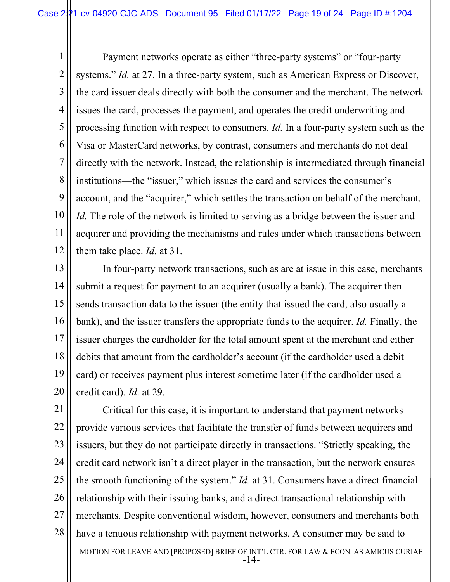1 2 3 4 5 6 7 8 9 10 11 12 Payment networks operate as either "three-party systems" or "four-party systems." *Id.* at 27. In a three-party system, such as American Express or Discover, the card issuer deals directly with both the consumer and the merchant. The network issues the card, processes the payment, and operates the credit underwriting and processing function with respect to consumers. *Id.* In a four-party system such as the Visa or MasterCard networks, by contrast, consumers and merchants do not deal directly with the network. Instead, the relationship is intermediated through financial institutions—the "issuer," which issues the card and services the consumer's account, and the "acquirer," which settles the transaction on behalf of the merchant. *Id.* The role of the network is limited to serving as a bridge between the issuer and acquirer and providing the mechanisms and rules under which transactions between them take place. *Id.* at 31.

13 14 15 16 17 18 19 20 In four-party network transactions, such as are at issue in this case, merchants submit a request for payment to an acquirer (usually a bank). The acquirer then sends transaction data to the issuer (the entity that issued the card, also usually a bank), and the issuer transfers the appropriate funds to the acquirer. *Id.* Finally, the issuer charges the cardholder for the total amount spent at the merchant and either debits that amount from the cardholder's account (if the cardholder used a debit card) or receives payment plus interest sometime later (if the cardholder used a credit card). *Id*. at 29.

21 22 23 24 25 26 27 28 Critical for this case, it is important to understand that payment networks provide various services that facilitate the transfer of funds between acquirers and issuers, but they do not participate directly in transactions. "Strictly speaking, the credit card network isn't a direct player in the transaction, but the network ensures the smooth functioning of the system." *Id.* at 31. Consumers have a direct financial relationship with their issuing banks, and a direct transactional relationship with merchants. Despite conventional wisdom, however, consumers and merchants both have a tenuous relationship with payment networks. A consumer may be said to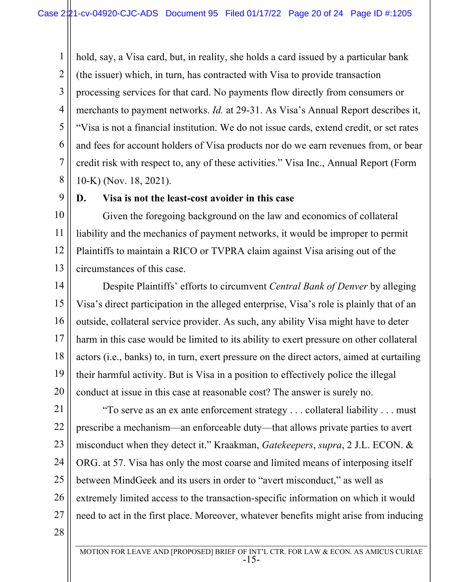1 2 3 4 5 6 7 8 hold, say, a Visa card, but, in reality, she holds a card issued by a particular bank (the issuer) which, in turn, has contracted with Visa to provide transaction processing services for that card. No payments flow directly from consumers or merchants to payment networks. *Id.* at 29-31. As Visa's Annual Report describes it, "Visa is not a financial institution. We do not issue cards, extend credit, or set rates and fees for account holders of Visa products nor do we earn revenues from, or bear credit risk with respect to, any of these activities." Visa Inc., Annual Report (Form 10-K) (Nov. 18, 2021).

9

#### **D. Visa is not the least-cost avoider in this case**

10 11 12 13 Given the foregoing background on the law and economics of collateral liability and the mechanics of payment networks, it would be improper to permit Plaintiffs to maintain a RICO or TVPRA claim against Visa arising out of the circumstances of this case.

14 15 16 17 18 19 20 Despite Plaintiffs' efforts to circumvent *Central Bank of Denver* by alleging Visa's direct participation in the alleged enterprise, Visa's role is plainly that of an outside, collateral service provider. As such, any ability Visa might have to deter harm in this case would be limited to its ability to exert pressure on other collateral actors (i.e., banks) to, in turn, exert pressure on the direct actors, aimed at curtailing their harmful activity. But is Visa in a position to effectively police the illegal conduct at issue in this case at reasonable cost? The answer is surely no.

21 22 23 24 25 26 27 "To serve as an ex ante enforcement strategy . . . collateral liability . . . must prescribe a mechanism—an enforceable duty—that allows private parties to avert misconduct when they detect it." Kraakman, *Gatekeepers*, *supra*, 2 J.L. ECON. & ORG. at 57. Visa has only the most coarse and limited means of interposing itself between MindGeek and its users in order to "avert misconduct," as well as extremely limited access to the transaction-specific information on which it would need to act in the first place. Moreover, whatever benefits might arise from inducing

28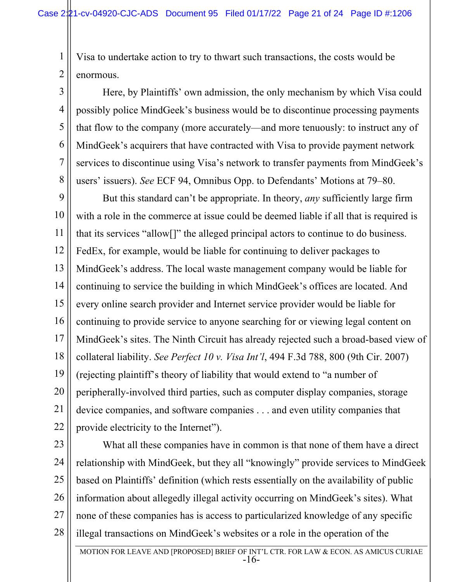Visa to undertake action to try to thwart such transactions, the costs would be enormous.

1

2

3

4

5

6

7

8

Here, by Plaintiffs' own admission, the only mechanism by which Visa could possibly police MindGeek's business would be to discontinue processing payments that flow to the company (more accurately—and more tenuously: to instruct any of MindGeek's acquirers that have contracted with Visa to provide payment network services to discontinue using Visa's network to transfer payments from MindGeek's users' issuers). *See* ECF 94, Omnibus Opp. to Defendants' Motions at 79–80.

9 10 11 12 13 14 15 16 17 18 19 20 21 22 But this standard can't be appropriate. In theory, *any* sufficiently large firm with a role in the commerce at issue could be deemed liable if all that is required is that its services "allow[]" the alleged principal actors to continue to do business. FedEx, for example, would be liable for continuing to deliver packages to MindGeek's address. The local waste management company would be liable for continuing to service the building in which MindGeek's offices are located. And every online search provider and Internet service provider would be liable for continuing to provide service to anyone searching for or viewing legal content on MindGeek's sites. The Ninth Circuit has already rejected such a broad-based view of collateral liability. *See Perfect 10 v. Visa Int'l*, 494 F.3d 788, 800 (9th Cir. 2007) (rejecting plaintiff's theory of liability that would extend to "a number of peripherally-involved third parties, such as computer display companies, storage device companies, and software companies . . . and even utility companies that provide electricity to the Internet").

23 24 25 26 27 28 What all these companies have in common is that none of them have a direct relationship with MindGeek, but they all "knowingly" provide services to MindGeek based on Plaintiffs' definition (which rests essentially on the availability of public information about allegedly illegal activity occurring on MindGeek's sites). What none of these companies has is access to particularized knowledge of any specific illegal transactions on MindGeek's websites or a role in the operation of the

MOTION FOR LEAVE AND [PROPOSED] BRIEF OF INT'L CTR. FOR LAW & ECON. AS AMICUS CURIAE -16-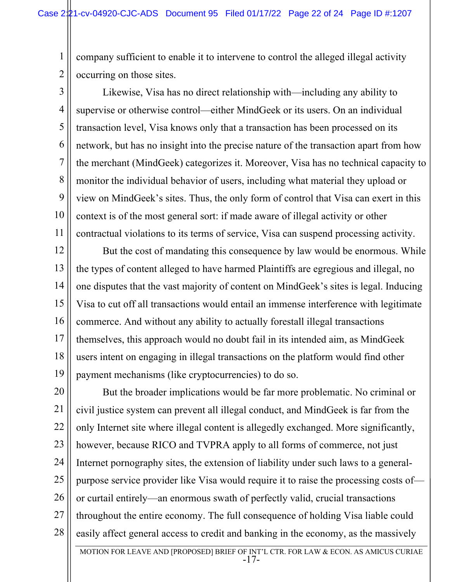1 2 company sufficient to enable it to intervene to control the alleged illegal activity occurring on those sites.

3 4 5 6 7 8 9 10 11 Likewise, Visa has no direct relationship with—including any ability to supervise or otherwise control—either MindGeek or its users. On an individual transaction level, Visa knows only that a transaction has been processed on its network, but has no insight into the precise nature of the transaction apart from how the merchant (MindGeek) categorizes it. Moreover, Visa has no technical capacity to monitor the individual behavior of users, including what material they upload or view on MindGeek's sites. Thus, the only form of control that Visa can exert in this context is of the most general sort: if made aware of illegal activity or other contractual violations to its terms of service, Visa can suspend processing activity.

12 13 14 15 16 17 18 19 But the cost of mandating this consequence by law would be enormous. While the types of content alleged to have harmed Plaintiffs are egregious and illegal, no one disputes that the vast majority of content on MindGeek's sites is legal. Inducing Visa to cut off all transactions would entail an immense interference with legitimate commerce. And without any ability to actually forestall illegal transactions themselves, this approach would no doubt fail in its intended aim, as MindGeek users intent on engaging in illegal transactions on the platform would find other payment mechanisms (like cryptocurrencies) to do so.

20 21 22 23 24 25 26 27 28 But the broader implications would be far more problematic. No criminal or civil justice system can prevent all illegal conduct, and MindGeek is far from the only Internet site where illegal content is allegedly exchanged. More significantly, however, because RICO and TVPRA apply to all forms of commerce, not just Internet pornography sites, the extension of liability under such laws to a generalpurpose service provider like Visa would require it to raise the processing costs of or curtail entirely—an enormous swath of perfectly valid, crucial transactions throughout the entire economy. The full consequence of holding Visa liable could easily affect general access to credit and banking in the economy, as the massively

MOTION FOR LEAVE AND [PROPOSED] BRIEF OF INT'L CTR. FOR LAW & ECON. AS AMICUS CURIAE -17-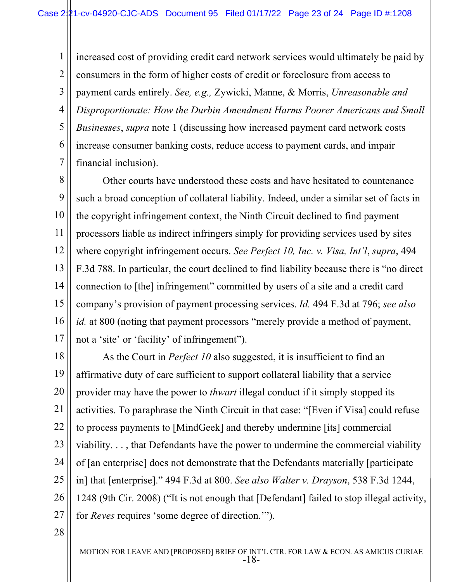1 2 3 4 5 6 7 increased cost of providing credit card network services would ultimately be paid by consumers in the form of higher costs of credit or foreclosure from access to payment cards entirely. *See, e.g.,* Zywicki, Manne, & Morris, *Unreasonable and Disproportionate: How the Durbin Amendment Harms Poorer Americans and Small Businesses*, *supra* note 1 (discussing how increased payment card network costs increase consumer banking costs, reduce access to payment cards, and impair financial inclusion).

8 9 10 11 12 13 14 15 16 17 Other courts have understood these costs and have hesitated to countenance such a broad conception of collateral liability. Indeed, under a similar set of facts in the copyright infringement context, the Ninth Circuit declined to find payment processors liable as indirect infringers simply for providing services used by sites where copyright infringement occurs. *See Perfect 10, Inc. v. Visa, Int'l*, *supra*, 494 F.3d 788. In particular, the court declined to find liability because there is "no direct connection to [the] infringement" committed by users of a site and a credit card company's provision of payment processing services. *Id.* 494 F.3d at 796; *see also id.* at 800 (noting that payment processors "merely provide a method of payment, not a 'site' or 'facility' of infringement").

18 19 20 21 22 23 24 25 26 27 As the Court in *Perfect 10* also suggested, it is insufficient to find an affirmative duty of care sufficient to support collateral liability that a service provider may have the power to *thwart* illegal conduct if it simply stopped its activities. To paraphrase the Ninth Circuit in that case: "[Even if Visa] could refuse to process payments to [MindGeek] and thereby undermine [its] commercial viability. . . , that Defendants have the power to undermine the commercial viability of [an enterprise] does not demonstrate that the Defendants materially [participate in] that [enterprise]." 494 F.3d at 800. *See also Walter v. Drayson*, 538 F.3d 1244, 1248 (9th Cir. 2008) ("It is not enough that [Defendant] failed to stop illegal activity, for *Reves* requires 'some degree of direction.'").

28